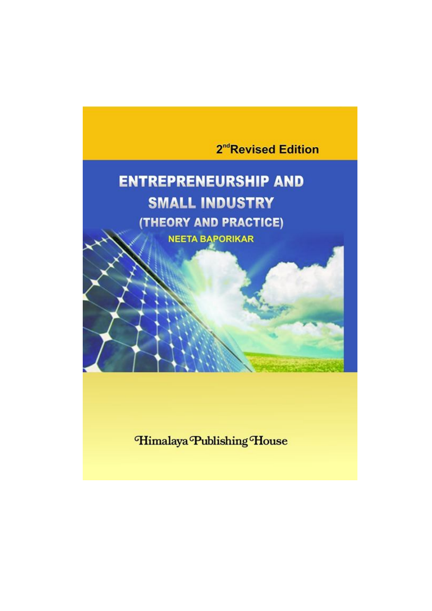

Himalaya Publishing House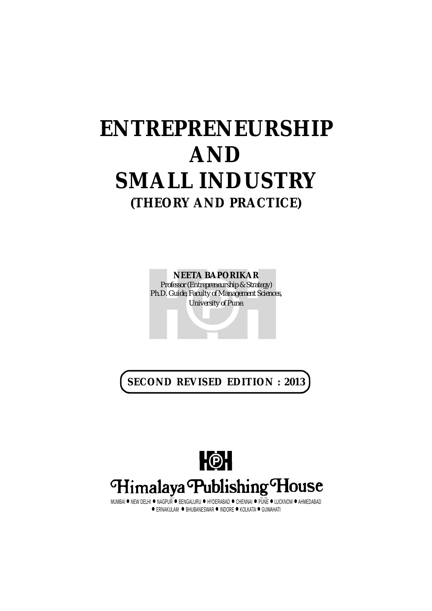# **ENTREPRENEURSHIP AND SMALL INDUSTRY (THEORY AND PRACTICE)**

**NEETA BAPORIKAR**

*Professor (Entrepreneurship & Strategy) Ph.D. Guide, Faculty of Management Sciences, University of Pune.*

**SECOND REVISED EDITION : 2013**



MUMBAI ● NEW DELHI ● NAGPUR ● BENGALURU ● HYDERABAD ● CHENNAI ● PUNE ● LUCKNOW ● AHMEDABAD  $\bullet$  ERNAKULAM  $\bullet$  BHUBANESWAR  $\bullet$  INDORE  $\bullet$  KOLKATA  $\bullet$  GUWAHATI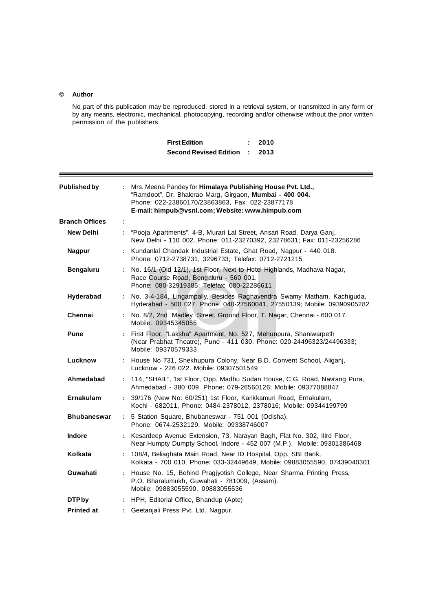#### **© Author**

No part of this publication may be reproduced, stored in a retrieval system, or transmitted in any form or by any means, electronic, mechanical, photocopying, recording and/or otherwise without the prior written permission of the publishers.

| <b>First Edition</b>          |                | 2010 |
|-------------------------------|----------------|------|
| <b>Second Revised Edition</b> | <b>COLLEGE</b> | 2013 |

| <b>Published by</b>   | : Mrs. Meena Pandey for Himalaya Publishing House Pvt. Ltd.,<br>"Ramdoot", Dr. Bhalerao Marg, Girgaon, Mumbai - 400 004.<br>Phone: 022-23860170/23863863, Fax: 022-23877178<br>E-mail: himpub@vsnl.com; Website: www.himpub.com |
|-----------------------|---------------------------------------------------------------------------------------------------------------------------------------------------------------------------------------------------------------------------------|
| <b>Branch Offices</b> | ÷                                                                                                                                                                                                                               |
| <b>New Delhi</b>      | : "Pooja Apartments", 4-B, Murari Lal Street, Ansari Road, Darya Ganj,<br>New Delhi - 110 002. Phone: 011-23270392, 23278631; Fax: 011-23256286                                                                                 |
| <b>Nagpur</b>         | : Kundanlal Chandak Industrial Estate, Ghat Road, Nagpur - 440 018.<br>Phone: 0712-2738731, 3296733; Telefax: 0712-2721215                                                                                                      |
| <b>Bengaluru</b>      | : No. 16/1 (Old 12/1), 1st Floor, Next to Hotel Highlands, Madhava Nagar,<br>Race Course Road, Bengaluru - 560 001.<br>Phone: 080-32919385; Telefax: 080-22286611                                                               |
| Hyderabad             | : No. 3-4-184, Lingampally, Besides Raghavendra Swamy Matham, Kachiguda,<br>Hyderabad - 500 027. Phone: 040-27560041, 27550139; Mobile: 09390905282                                                                             |
| Chennai               | : No. 8/2, 2nd Madley Street, Ground Floor, T. Nagar, Chennai - 600 017.<br>Mobile: 09345345055                                                                                                                                 |
| Pune                  | : First Floor, "Laksha" Apartment, No. 527, Mehunpura, Shaniwarpeth<br>(Near Prabhat Theatre), Pune - 411 030. Phone: 020-24496323/24496333;<br>Mobile: 09370579333                                                             |
| Lucknow               | : House No 731, Shekhupura Colony, Near B.D. Convent School, Aliganj,<br>Lucknow - 226 022. Mobile: 09307501549                                                                                                                 |
| Ahmedabad             | : 114, "SHAIL", 1st Floor, Opp. Madhu Sudan House, C.G. Road, Navrang Pura,<br>Ahmedabad - 380 009. Phone: 079-26560126; Mobile: 09377088847                                                                                    |
| <b>Ernakulam</b>      | : 39/176 (New No: 60/251) 1st Floor, Karikkamuri Road, Ernakulam,<br>Kochi - 682011, Phone: 0484-2378012, 2378016; Mobile: 09344199799                                                                                          |
| <b>Bhubaneswar</b>    | : 5 Station Square, Bhubaneswar - 751 001 (Odisha).<br>Phone: 0674-2532129, Mobile: 09338746007                                                                                                                                 |
| <b>Indore</b>         | : Kesardeep Avenue Extension, 73, Narayan Bagh, Flat No. 302, Illrd Floor,<br>Near Humpty Dumpty School, Indore - 452 007 (M.P.). Mobile: 09301386468                                                                           |
| Kolkata               | : 108/4, Beliaghata Main Road, Near ID Hospital, Opp. SBI Bank,<br>Kolkata - 700 010, Phone: 033-32449649, Mobile: 09883055590, 07439040301                                                                                     |
| Guwahati              | : House No. 15, Behind Pragjyotish College, Near Sharma Printing Press,<br>P.O. Bharalumukh, Guwahati - 781009, (Assam).<br>Mobile: 09883055590, 09883055536                                                                    |
| <b>DTPby</b>          | : HPH, Editorial Office, Bhandup (Apte)                                                                                                                                                                                         |
| <b>Printed at</b>     | : Geetanjali Press Pvt. Ltd. Nagpur.                                                                                                                                                                                            |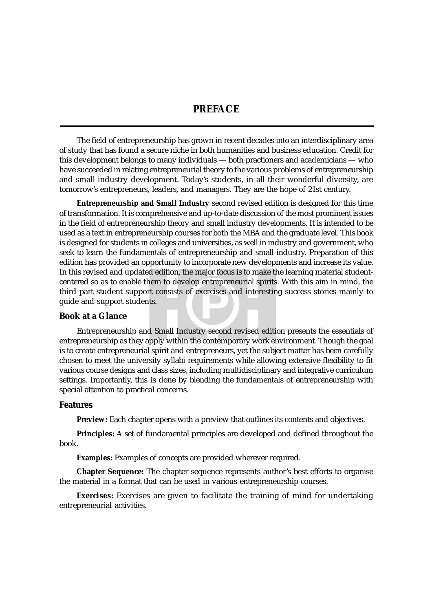# **PREFACE**

The field of entrepreneurship has grown in recent decades into an interdisciplinary area of study that has found a secure niche in both humanities and business education. Credit for this development belongs to many individuals — both practioners and academicians — who have succeeded in relating entrepreneurial theory to the various problems of entrepreneurship and small industry development. Today's students, in all their wonderful diversity, are tomorrow's entrepreneurs, leaders, and managers. They are the hope of 21st century.

**Entrepreneurship and Small Industry** second revised edition is designed for this time of transformation. It is comprehensive and up-to-date discussion of the most prominent issues in the field of entrepreneurship theory and small industry developments. It is intended to be used as a text in entrepreneurship courses for both the MBA and the graduate level. This book is designed for students in colleges and universities, as well in industry and government, who seek to learn the fundamentals of entrepreneurship and small industry. Preparation of this edition has provided an opportunity to incorporate new developments and increase its value. In this revised and updated edition, the major focus is to make the learning material studentcentered so as to enable them to develop entrepreneurial spirits. With this aim in mind, the third part student support consists of exercises and interesting success stories mainly to guide and support students.

## **Book at a Glance**

Entrepreneurship and Small Industry second revised edition presents the essentials of entrepreneurship as they apply within the contemporary work environment. Though the goal is to create entrepreneurial spirit and entrepreneurs, yet the subject matter has been carefully chosen to meet the university syllabi requirements while allowing extensive flexibility to fit various course designs and class sizes, including multidisciplinary and integrative curriculum settings. Importantly, this is done by blending the fundamentals of entrepreneurship with special attention to practical concerns.

#### **Features**

**Preview:** Each chapter opens with a preview that outlines its contents and objectives.

**Principles:** A set of fundamental principles are developed and defined throughout the book.

**Examples:** Examples of concepts are provided wherever required.

**Chapter Sequence:** The chapter sequence represents author's best efforts to organise the material in a format that can be used in various entrepreneurship courses.

**Exercises:** Exercises are given to facilitate the training of mind for undertaking entrepreneurial activities.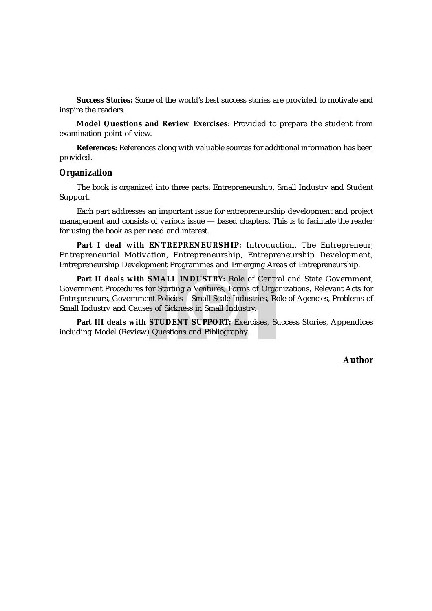**Success Stories:** Some of the world's best success stories are provided to motivate and inspire the readers.

**Model Questions and Review Exercises:** Provided to prepare the student from examination point of view.

**References:** References along with valuable sources for additional information has been provided.

#### **Organization**

The book is organized into three parts: Entrepreneurship, Small Industry and Student Support.

Each part addresses an important issue for entrepreneurship development and project management and consists of various issue — based chapters. This is to facilitate the reader for using the book as per need and interest.

Part I deal with **ENTREPRENEURSHIP:** Introduction, The Entrepreneur, Entrepreneurial Motivation, Entrepreneurship, Entrepreneurship Development, Entrepreneurship Development Programmes and Emerging Areas of Entrepreneurship.

Part II deals with **SMALL INDUSTRY:** Role of Central and State Government, Government Procedures for Starting a Ventures, Forms of Organizations, Relevant Acts for Entrepreneurs, Government Policies – Small Scale Industries, Role of Agencies, Problems of Small Industry and Causes of Sickness in Small Industry.

Part III deals with **STUDENT SUPPORT:** Exercises, Success Stories, Appendices including Model (Review) Questions and Bibliography.

**Author**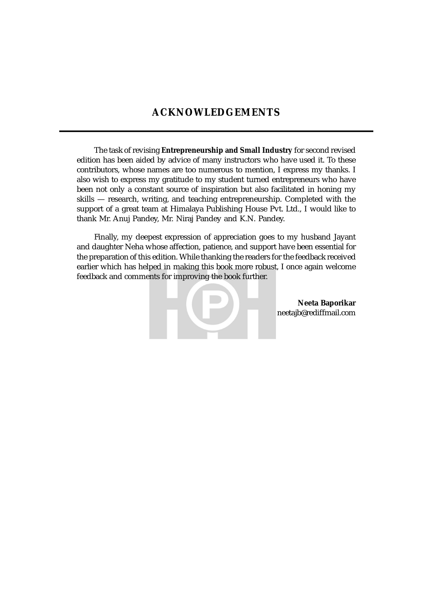# **ACKNOWLEDGEMENTS**

The task of revising **Entrepreneurship and Small Industry** for second revised edition has been aided by advice of many instructors who have used it. To these contributors, whose names are too numerous to mention, I express my thanks. I also wish to express my gratitude to my student turned entrepreneurs who have been not only a constant source of inspiration but also facilitated in honing my skills — research, writing, and teaching entrepreneurship. Completed with the support of a great team at Himalaya Publishing House Pvt. Ltd., I would like to thank Mr. Anuj Pandey, Mr. Niraj Pandey and K.N. Pandey.

Finally, my deepest expression of appreciation goes to my husband Jayant and daughter Neha whose affection, patience, and support have been essential for the preparation of this edition. While thanking the readers for the feedback received earlier which has helped in making this book more robust, I once again welcome feedback and comments for improving the book further.



**Neeta Baporikar** neetajb@rediffmail.com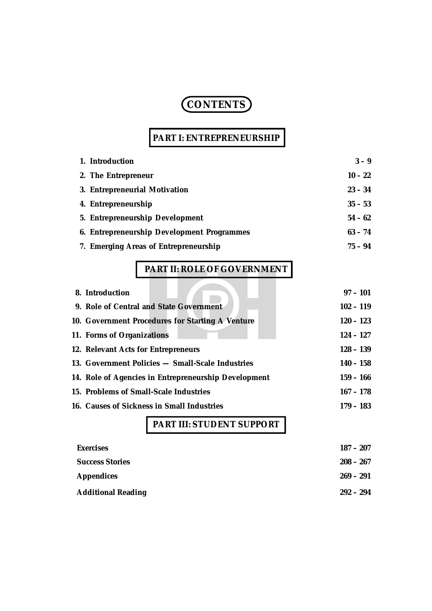# **CONTENTS**

# **PART I: ENTREPRENEURSHIP**

| 1. Introduction                            | $3 - 9$   |
|--------------------------------------------|-----------|
| 2. The Entrepreneur                        | $10 - 22$ |
| 3. Entrepreneurial Motivation              | $23 - 34$ |
| 4. Entrepreneurship                        | $35 - 53$ |
| 5. Entrepreneurship Development            | $54 - 62$ |
| 6. Entrepreneurship Development Programmes | $63 - 74$ |
| 7. Emerging Areas of Entrepreneurship      | $75 - 94$ |

# **PART II: ROLE OF GOVERNMENT**

| 8. Introduction                                      | $97 - 101$  |
|------------------------------------------------------|-------------|
| 9. Role of Central and State Government              | $102 - 119$ |
| 10. Government Procedures for Starting A Venture     | $120 - 123$ |
| 11. Forms of Organizations                           | $124 - 127$ |
| 12. Relevant Acts for Entrepreneurs                  | $128 - 139$ |
| 13. Government Policies - Small-Scale Industries     | $140 - 158$ |
| 14. Role of Agencies in Entrepreneurship Development | $159 - 166$ |
| 15. Problems of Small-Scale Industries               | $167 - 178$ |
| 16. Causes of Sickness in Small Industries           | $179 - 183$ |
| <b>PART III: STUDENT SUPPORT</b>                     |             |

| <b>Exercises</b>          | 187 – 207   |
|---------------------------|-------------|
| <b>Success Stories</b>    | $208 - 267$ |
| <b>Appendices</b>         | $269 - 291$ |
| <b>Additional Reading</b> | $292 - 294$ |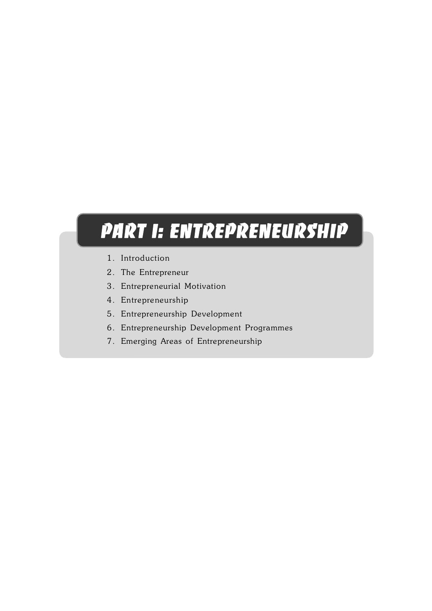# **Part I: Entrepreneurship**

- 1. Introduction
- 2. The Entrepreneur
- 3. Entrepreneurial Motivation
- 4. Entrepreneurship
- 5. Entrepreneurship Development
- 6. Entrepreneurship Development Programmes
- 7. Emerging Areas of Entrepreneurship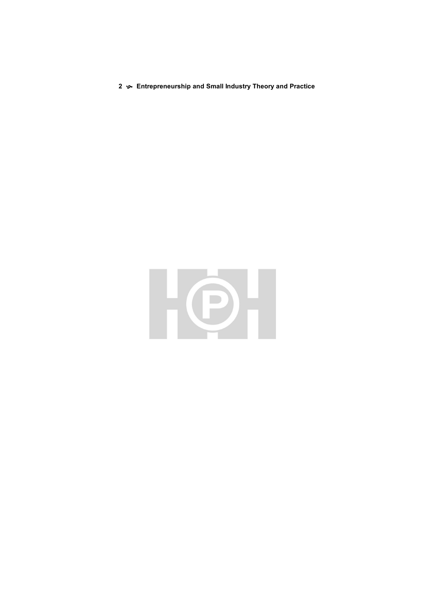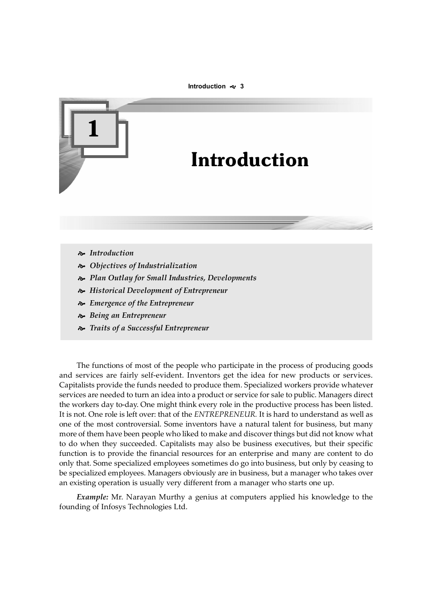#### **Introduction**  $\approx$  **3**



- *Objectives of Industrialization*
- *Plan Outlay for Small Industries, Developments*
- *Historical Development of Entrepreneur*
- *Emergence of the Entrepreneur*
- *Being an Entrepreneur*
- *Traits of a Successful Entrepreneur*

The functions of most of the people who participate in the process of producing goods and services are fairly self-evident. Inventors get the idea for new products or services. Capitalists provide the funds needed to produce them. Specialized workers provide whatever services are needed to turn an idea into a product or service for sale to public. Managers direct the workers day to-day. One might think every role in the productive process has been listed. It is not. One role is left over: that of the *ENTREPRENEUR.* It is hard to understand as well as one of the most controversial. Some inventors have a natural talent for business, but many more of them have been people who liked to make and discover things but did not know what to do when they succeeded. Capitalists may also be business executives, but their specific function is to provide the financial resources for an enterprise and many are content to do only that. Some specialized employees sometimes do go into business, but only by ceasing to be specialized employees. Managers obviously are in business, but a manager who takes over an existing operation is usually very different from a manager who starts one up.

*Example:* Mr. Narayan Murthy a genius at computers applied his knowledge to the founding of Infosys Technologies Ltd.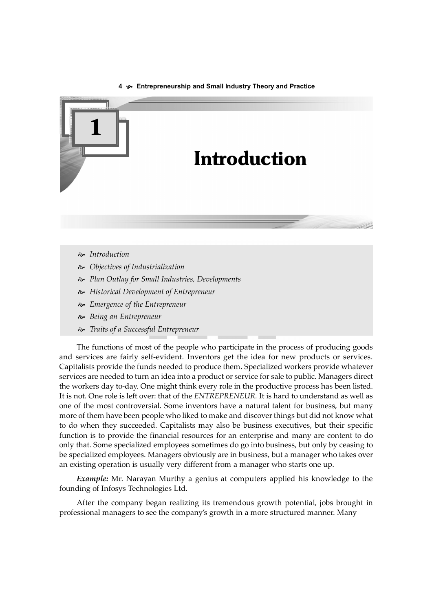

- *Introduction*
- *Objectives of Industrialization*
- *Plan Outlay for Small Industries, Developments*
- *Historical Development of Entrepreneur*
- *Emergence of the Entrepreneur*
- *Being an Entrepreneur*
- *Traits of a Successful Entrepreneur*

The functions of most of the people who participate in the process of producing goods and services are fairly self-evident. Inventors get the idea for new products or services. Capitalists provide the funds needed to produce them. Specialized workers provide whatever services are needed to turn an idea into a product or service for sale to public. Managers direct the workers day to-day. One might think every role in the productive process has been listed. It is not. One role is left over: that of the *ENTREPRENEUR.* It is hard to understand as well as one of the most controversial. Some inventors have a natural talent for business, but many more of them have been people who liked to make and discover things but did not know what to do when they succeeded. Capitalists may also be business executives, but their specific function is to provide the financial resources for an enterprise and many are content to do only that. Some specialized employees sometimes do go into business, but only by ceasing to be specialized employees. Managers obviously are in business, but a manager who takes over an existing operation is usually very different from a manager who starts one up.

*Example:* Mr. Narayan Murthy a genius at computers applied his knowledge to the founding of Infosys Technologies Ltd.

After the company began realizing its tremendous growth potential, jobs brought in professional managers to see the company's growth in a more structured manner. Many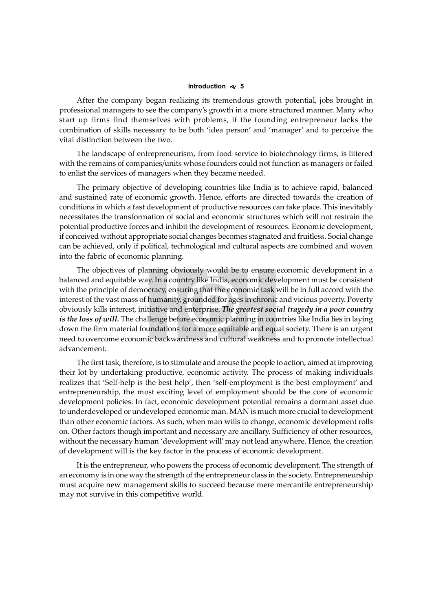#### **Introduction**  $\ll 5$

After the company began realizing its tremendous growth potential, jobs brought in professional managers to see the company's growth in a more structured manner. Many who start up firms find themselves with problems, if the founding entrepreneur lacks the combination of skills necessary to be both 'idea person' and 'manager' and to perceive the vital distinction between the two.

The landscape of entrepreneurism, from food service to biotechnology firms, is littered with the remains of companies/units whose founders could not function as managers or failed to enlist the services of managers when they became needed.

The primary objective of developing countries like India is to achieve rapid, balanced and sustained rate of economic growth. Hence, efforts are directed towards the creation of conditions in which a fast development of productive resources can take place. This inevitably necessitates the transformation of social and economic structures which will not restrain the potential productive forces and inhibit the development of resources. Economic development, if conceived without appropriate social changes becomes stagnated and fruitless. Social change can be achieved, only if political, technological and cultural aspects are combined and woven into the fabric of economic planning.

The objectives of planning obviously would be to ensure economic development in a balanced and equitable way. In a country like India, economic development must be consistent with the principle of democracy, ensuring that the economic task will be in full accord with the interest of the vast mass of humanity, grounded for ages in chronic and vicious poverty. Poverty obviously kills interest, initiative and enterprise. *The greatest social tragedy in a poor country* is the loss of will. The challenge before economic planning in countries like India lies in laying down the firm material foundations for a more equitable and equal society. There is an urgent need to overcome economic backwardness and cultural weakness and to promote intellectual advancement.

The first task, therefore, is to stimulate and arouse the people to action, aimed at improving their lot by undertaking productive, economic activity. The process of making individuals realizes that 'Self-help is the best help', then 'self-employment is the best employment' and entrepreneurship, the most exciting level of employment should be the core of economic development policies. In fact, economic development potential remains a dormant asset due to underdeveloped or undeveloped economic man. MAN is much more crucial to development than other economic factors. As such, when man wills to change, economic development rolls on. Other factors though important and necessary are ancillary. Sufficiency of other resources, without the necessary human 'development will' may not lead anywhere. Hence, the creation of development will is the key factor in the process of economic development.

It is the entrepreneur, who powers the process of economic development. The strength of an economy is in one way the strength of the entrepreneur class in the society. Entrepreneurship must acquire new management skills to succeed because mere mercantile entrepreneurship may not survive in this competitive world.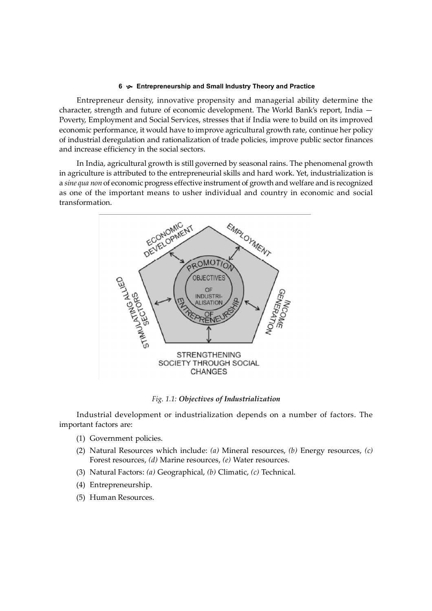Entrepreneur density, innovative propensity and managerial ability determine the character, strength and future of economic development. The World Bank's report, India — Poverty, Employment and Social Services, stresses that if India were to build on its improved economic performance, it would have to improve agricultural growth rate, continue her policy of industrial deregulation and rationalization of trade policies, improve public sector finances and increase efficiency in the social sectors.

In India, agricultural growth is still governed by seasonal rains. The phenomenal growth in agriculture is attributed to the entrepreneurial skills and hard work. Yet, industrialization is a *sine qua non* of economic progress effective instrument of growth and welfare and is recognized as one of the important means to usher individual and country in economic and social transformation.



*Fig. 1.1: Objectives of Industrialization*

Industrial development or industrialization depends on a number of factors. The important factors are:

- (1) Government policies.
- (2) Natural Resources which include: *(a)* Mineral resources, *(b)* Energy resources, *(c)* Forest resources, *(d)* Marine resources, *(e)* Water resources.
- (3) Natural Factors: *(a)* Geographical, *(b)* Climatic, *(c)* Technical.
- (4) Entrepreneurship.
- (5) Human Resources.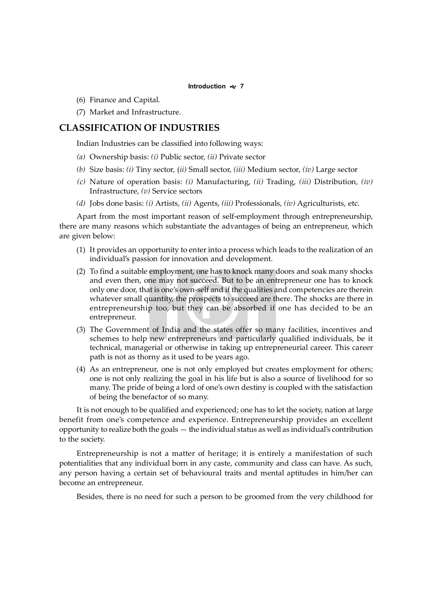#### **Introduction**  $\approx 7$

- (6) Finance and Capital.
- (7) Market and Infrastructure.

### **CLASSIFICATION OF INDUSTRIES**

Indian Industries can be classified into following ways:

- *(a)* Ownership basis: *(i)* Public sector, *(ii)* Private sector
- *(b)* Size basis: *(i)* Tiny sector, (*ii)* Small sector, *(iii)* Medium sector, *(iv)* Large sector
- *(c)* Nature of operation basis: *(i)* Manufacturing, *(ii)* Trading, *(iii)* Distribution, *(iv)* Infrastructure, *(v)* Service sectors
- *(d)* Jobs done basis: *(i)* Artists, *(ii)* Agents, *(iii)* Professionals, *(iv)* Agriculturists, etc.

Apart from the most important reason of self-employment through entrepreneurship, there are many reasons which substantiate the advantages of being an entrepreneur, which are given below:

- (1) It provides an opportunity to enter into a process which leads to the realization of an individual's passion for innovation and development.
- (2) To find a suitable employment, one has to knock many doors and soak many shocks and even then, one may not succeed. But to be an entrepreneur one has to knock only one door, that is one's own-self and if the qualities and competencies are therein whatever small quantity, the prospects to succeed are there. The shocks are there in entrepreneurship too, but they can be absorbed if one has decided to be an entrepreneur.
- (3) The Government of India and the states offer so many facilities, incentives and schemes to help new entrepreneurs and particularly qualified individuals, be it technical, managerial or otherwise in taking up entrepreneurial career. This career path is not as thorny as it used to be years ago.
- (4) As an entrepreneur, one is not only employed but creates employment for others; one is not only realizing the goal in his life but is also a source of livelihood for so many. The pride of being a lord of one's own destiny is coupled with the satisfaction of being the benefactor of so many.

It is not enough to be qualified and experienced; one has to let the society, nation at large benefit from one's competence and experience. Entrepreneurship provides an excellent opportunity to realize both the goals — the individual status as well as individual's contribution to the society.

Entrepreneurship is not a matter of heritage; it is entirely a manifestation of such potentialities that any individual born in any caste, community and class can have. As such, any person having a certain set of behavioural traits and mental aptitudes in him/her can become an entrepreneur.

Besides, there is no need for such a person to be groomed from the very childhood for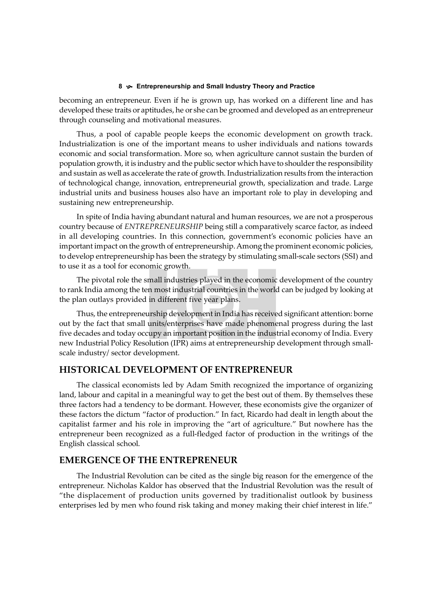becoming an entrepreneur. Even if he is grown up, has worked on a different line and has developed these traits or aptitudes, he or she can be groomed and developed as an entrepreneur through counseling and motivational measures.

Thus, a pool of capable people keeps the economic development on growth track. Industrialization is one of the important means to usher individuals and nations towards economic and social transformation. More so, when agriculture cannot sustain the burden of population growth, it is industry and the public sector which have to shoulder the responsibility and sustain as well as accelerate the rate of growth. Industrialization results from the interaction of technological change, innovation, entrepreneurial growth, specialization and trade. Large industrial units and business houses also have an important role to play in developing and sustaining new entrepreneurship.

In spite of India having abundant natural and human resources, we are not a prosperous country because of *ENTREPRENEURSHIP* being still a comparatively scarce factor, as indeed in all developing countries. In this connection, government's economic policies have an important impact on the growth of entrepreneurship. Among the prominent economic policies, to develop entrepreneurship has been the strategy by stimulating small-scale sectors (SSI) and to use it as a tool for economic growth.

The pivotal role the small industries played in the economic development of the country to rank India among the ten most industrial countries in the world can be judged by looking at the plan outlays provided in different five year plans.

Thus, the entrepreneurship development in India has received significant attention: borne out by the fact that small units/enterprises have made phenomenal progress during the last five decades and today occupy an important position in the industrial economy of India. Every new Industrial Policy Resolution (IPR) aims at entrepreneurship development through smallscale industry/ sector development.

## **HISTORICAL DEVELOPMENT OF ENTREPRENEUR**

The classical economists led by Adam Smith recognized the importance of organizing land, labour and capital in a meaningful way to get the best out of them. By themselves these three factors had a tendency to be dormant. However, these economists give the organizer of these factors the dictum "factor of production." In fact, Ricardo had dealt in length about the capitalist farmer and his role in improving the "art of agriculture." But nowhere has the entrepreneur been recognized as a full-fledged factor of production in the writings of the English classical school.

## **EMERGENCE OF THE ENTREPRENEUR**

The Industrial Revolution can be cited as the single big reason for the emergence of the entrepreneur. Nicholas Kaldor has observed that the Industrial Revolution was the result of "the displacement of production units governed by traditionalist outlook by business enterprises led by men who found risk taking and money making their chief interest in life."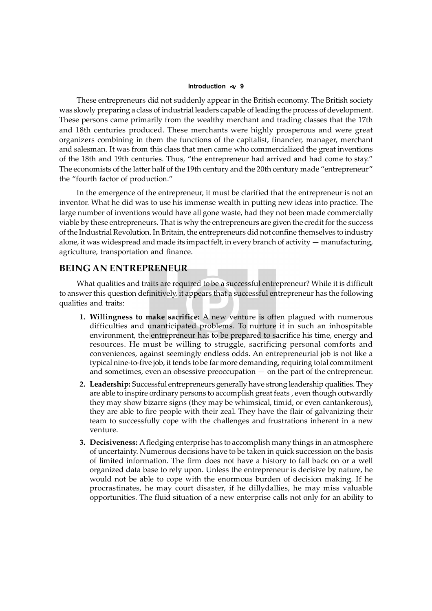#### **Introduction**  $\approx 9$

These entrepreneurs did not suddenly appear in the British economy. The British society was slowly preparing a class of industrial leaders capable of leading the process of development. These persons came primarily from the wealthy merchant and trading classes that the 17th and 18th centuries produced. These merchants were highly prosperous and were great organizers combining in them the functions of the capitalist, financier, manager, merchant and salesman. It was from this class that men came who commercialized the great inventions of the 18th and 19th centuries. Thus, "the entrepreneur had arrived and had come to stay." The economists of the latter half of the 19th century and the 20th century made "entrepreneur" the "fourth factor of production."

In the emergence of the entrepreneur, it must be clarified that the entrepreneur is not an inventor. What he did was to use his immense wealth in putting new ideas into practice. The large number of inventions would have all gone waste, had they not been made commercially viable by these entrepreneurs. That is why the entrepreneurs are given the credit for the success of the Industrial Revolution. In Britain, the entrepreneurs did not confine themselves to industry alone, it was widespread and made its impact felt, in every branch of activity — manufacturing, agriculture, transportation and finance.

### **BEING AN ENTREPRENEUR**

What qualities and traits are required to be a successful entrepreneur? While it is difficult to answer this question definitively, it appears that a successful entrepreneur has the following qualities and traits:

- **1. Willingness to make sacrifice:** A new venture is often plagued with numerous difficulties and unanticipated problems. To nurture it in such an inhospitable environment, the entrepreneur has to be prepared to sacrifice his time, energy and resources. He must be willing to struggle, sacrificing personal comforts and conveniences, against seemingly endless odds. An entrepreneurial job is not like a typical nine-to-five job, it tends to be far more demanding, requiring total commitment and sometimes, even an obsessive preoccupation — on the part of the entrepreneur.
- **2. Leadership:** Successful entrepreneurs generally have strong leadership qualities. They are able to inspire ordinary persons to accomplish great feats , even though outwardly they may show bizarre signs (they may be whimsical, timid, or even cantankerous), they are able to fire people with their zeal. They have the flair of galvanizing their team to successfully cope with the challenges and frustrations inherent in a new venture.
- **3. Decisiveness:** A fledging enterprise has to accomplish many things in an atmosphere of uncertainty. Numerous decisions have to be taken in quick succession on the basis of limited information. The firm does not have a history to fall back on or a well organized data base to rely upon. Unless the entrepreneur is decisive by nature, he would not be able to cope with the enormous burden of decision making. If he procrastinates, he may court disaster, if he dillydallies, he may miss valuable opportunities. The fluid situation of a new enterprise calls not only for an ability to